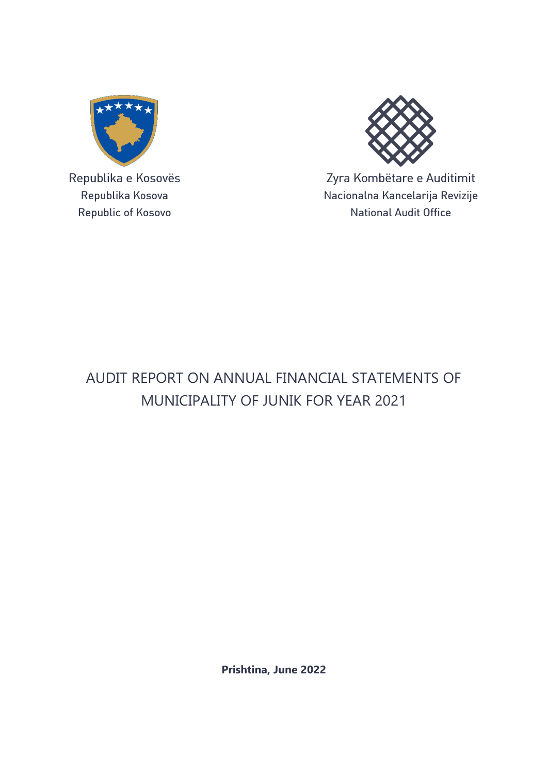

Republika e Kosovës Republika Kosova Republic of Kosovo



Zyra Kombëtare e Auditimit Nacionalna Kancelarija Revizije **National Audit Office** 

## AUDIT REPORT ON ANNUAL FINANCIAL STATEMENTS OF MUNICIPALITY OF JUNIK FOR YEAR 2021

**Prishtina, June 2022**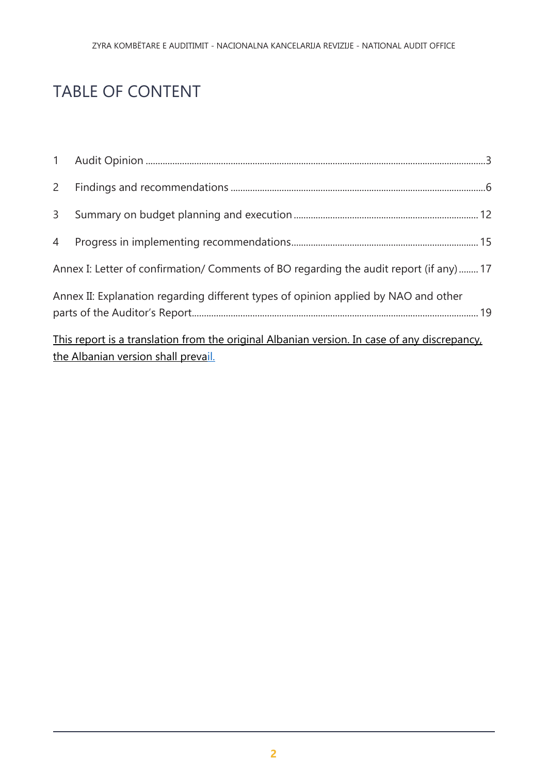# TABLE OF CONTENT

| 3              |                                                                                              |  |
|----------------|----------------------------------------------------------------------------------------------|--|
| $\overline{4}$ |                                                                                              |  |
|                | Annex I: Letter of confirmation/ Comments of BO regarding the audit report (if any)17        |  |
|                | Annex II: Explanation regarding different types of opinion applied by NAO and other          |  |
|                | This report is a translation from the original Albanian version. In case of any discrepancy, |  |
|                | the Albanian version shall prevail.                                                          |  |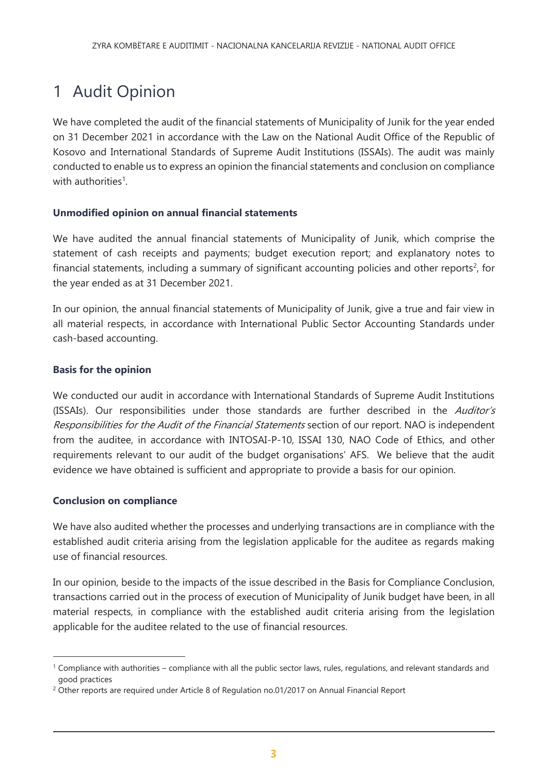# <span id="page-2-0"></span>1 Audit Opinion

We have completed the audit of the financial statements of Municipality of Junik for the year ended on 31 December 2021 in accordance with the Law on the National Audit Office of the Republic of Kosovo and International Standards of Supreme Audit Institutions (ISSAIs). The audit was mainly conducted to enable us to express an opinion the financial statements and conclusion on compliance with authorities<sup>1</sup>.

### **Unmodified opinion on annual financial statements**

We have audited the annual financial statements of Municipality of Junik, which comprise the statement of cash receipts and payments; budget execution report; and explanatory notes to financial statements, including a summary of significant accounting policies and other reports<sup>2</sup>, for the year ended as at 31 December 2021.

In our opinion, the annual financial statements of Municipality of Junik, give a true and fair view in all material respects, in accordance with International Public Sector Accounting Standards under cash-based accounting.

#### **Basis for the opinion**

We conducted our audit in accordance with International Standards of Supreme Audit Institutions (ISSAIs). Our responsibilities under those standards are further described in the Auditor's Responsibilities for the Audit of the Financial Statements section of our report. NAO is independent from the auditee, in accordance with INTOSAI-P-10, ISSAI 130, NAO Code of Ethics, and other requirements relevant to our audit of the budget organisations' AFS. We believe that the audit evidence we have obtained is sufficient and appropriate to provide a basis for our opinion.

### **Conclusion on compliance**

 $\overline{a}$ 

We have also audited whether the processes and underlying transactions are in compliance with the established audit criteria arising from the legislation applicable for the auditee as regards making use of financial resources.

In our opinion, beside to the impacts of the issue described in the Basis for Compliance Conclusion, transactions carried out in the process of execution of Municipality of Junik budget have been, in all material respects, in compliance with the established audit criteria arising from the legislation applicable for the auditee related to the use of financial resources.

<sup>1</sup> Compliance with authorities – compliance with all the public sector laws, rules, regulations, and relevant standards and good practices

<sup>&</sup>lt;sup>2</sup> Other reports are required under Article 8 of Regulation no.01/2017 on Annual Financial Report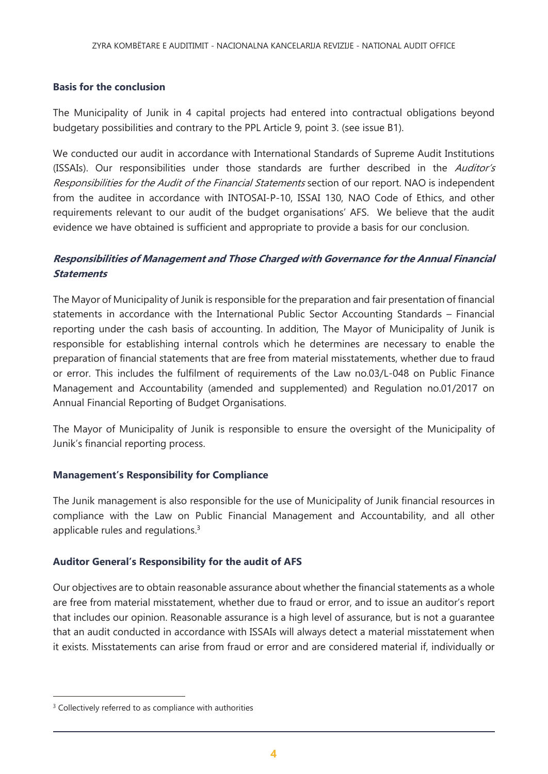#### **Basis for the conclusion**

The Municipality of Junik in 4 capital projects had entered into contractual obligations beyond budgetary possibilities and contrary to the PPL Article 9, point 3. (see issue B1).

We conducted our audit in accordance with International Standards of Supreme Audit Institutions (ISSAIs). Our responsibilities under those standards are further described in the Auditor's Responsibilities for the Audit of the Financial Statements section of our report. NAO is independent from the auditee in accordance with INTOSAI-P-10, ISSAI 130, NAO Code of Ethics, and other requirements relevant to our audit of the budget organisations' AFS. We believe that the audit evidence we have obtained is sufficient and appropriate to provide a basis for our conclusion.

### **Responsibilities of Management and Those Charged with Governance for the Annual Financial Statements**

The Mayor of Municipality of Junik is responsible for the preparation and fair presentation of financial statements in accordance with the International Public Sector Accounting Standards – Financial reporting under the cash basis of accounting. In addition, The Mayor of Municipality of Junik is responsible for establishing internal controls which he determines are necessary to enable the preparation of financial statements that are free from material misstatements, whether due to fraud or error. This includes the fulfilment of requirements of the Law no.03/L-048 on Public Finance Management and Accountability (amended and supplemented) and Regulation no.01/2017 on Annual Financial Reporting of Budget Organisations.

The Mayor of Municipality of Junik is responsible to ensure the oversight of the Municipality of Junik's financial reporting process.

#### **Management's Responsibility for Compliance**

The Junik management is also responsible for the use of Municipality of Junik financial resources in compliance with the Law on Public Financial Management and Accountability, and all other applicable rules and regulations.<sup>3</sup>

#### **Auditor General's Responsibility for the audit of AFS**

Our objectives are to obtain reasonable assurance about whether the financial statements as a whole are free from material misstatement, whether due to fraud or error, and to issue an auditor's report that includes our opinion. Reasonable assurance is a high level of assurance, but is not a guarantee that an audit conducted in accordance with ISSAIs will always detect a material misstatement when it exists. Misstatements can arise from fraud or error and are considered material if, individually or

 $\overline{a}$ 

<sup>&</sup>lt;sup>3</sup> Collectively referred to as compliance with authorities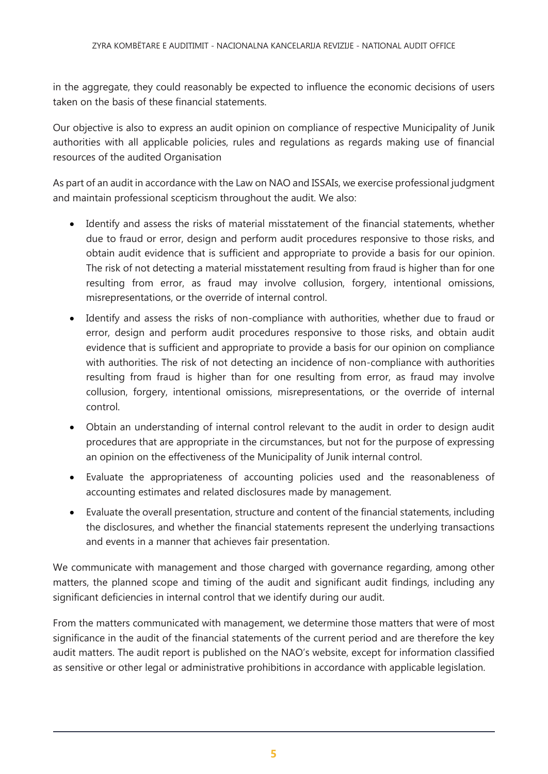in the aggregate, they could reasonably be expected to influence the economic decisions of users taken on the basis of these financial statements.

Our objective is also to express an audit opinion on compliance of respective Municipality of Junik authorities with all applicable policies, rules and regulations as regards making use of financial resources of the audited Organisation

As part of an audit in accordance with the Law on NAO and ISSAIs, we exercise professional judgment and maintain professional scepticism throughout the audit. We also:

- Identify and assess the risks of material misstatement of the financial statements, whether due to fraud or error, design and perform audit procedures responsive to those risks, and obtain audit evidence that is sufficient and appropriate to provide a basis for our opinion. The risk of not detecting a material misstatement resulting from fraud is higher than for one resulting from error, as fraud may involve collusion, forgery, intentional omissions, misrepresentations, or the override of internal control.
- Identify and assess the risks of non-compliance with authorities, whether due to fraud or error, design and perform audit procedures responsive to those risks, and obtain audit evidence that is sufficient and appropriate to provide a basis for our opinion on compliance with authorities. The risk of not detecting an incidence of non-compliance with authorities resulting from fraud is higher than for one resulting from error, as fraud may involve collusion, forgery, intentional omissions, misrepresentations, or the override of internal control.
- Obtain an understanding of internal control relevant to the audit in order to design audit procedures that are appropriate in the circumstances, but not for the purpose of expressing an opinion on the effectiveness of the Municipality of Junik internal control.
- Evaluate the appropriateness of accounting policies used and the reasonableness of accounting estimates and related disclosures made by management.
- Evaluate the overall presentation, structure and content of the financial statements, including the disclosures, and whether the financial statements represent the underlying transactions and events in a manner that achieves fair presentation.

We communicate with management and those charged with governance regarding, among other matters, the planned scope and timing of the audit and significant audit findings, including any significant deficiencies in internal control that we identify during our audit.

From the matters communicated with management, we determine those matters that were of most significance in the audit of the financial statements of the current period and are therefore the key audit matters. The audit report is published on the NAO's website, except for information classified as sensitive or other legal or administrative prohibitions in accordance with applicable legislation.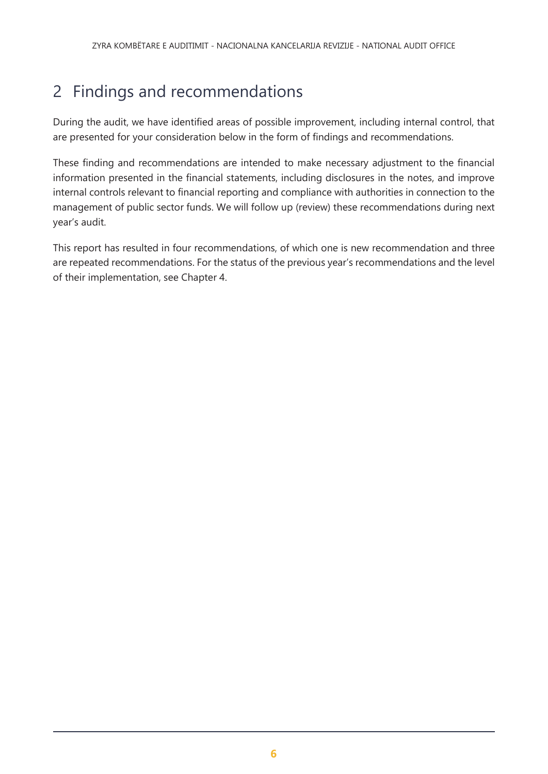# <span id="page-5-0"></span>2 Findings and recommendations

During the audit, we have identified areas of possible improvement, including internal control, that are presented for your consideration below in the form of findings and recommendations.

These finding and recommendations are intended to make necessary adjustment to the financial information presented in the financial statements, including disclosures in the notes, and improve internal controls relevant to financial reporting and compliance with authorities in connection to the management of public sector funds. We will follow up (review) these recommendations during next year's audit.

This report has resulted in four recommendations, of which one is new recommendation and three are repeated recommendations. For the status of the previous year's recommendations and the level of their implementation, see Chapter 4.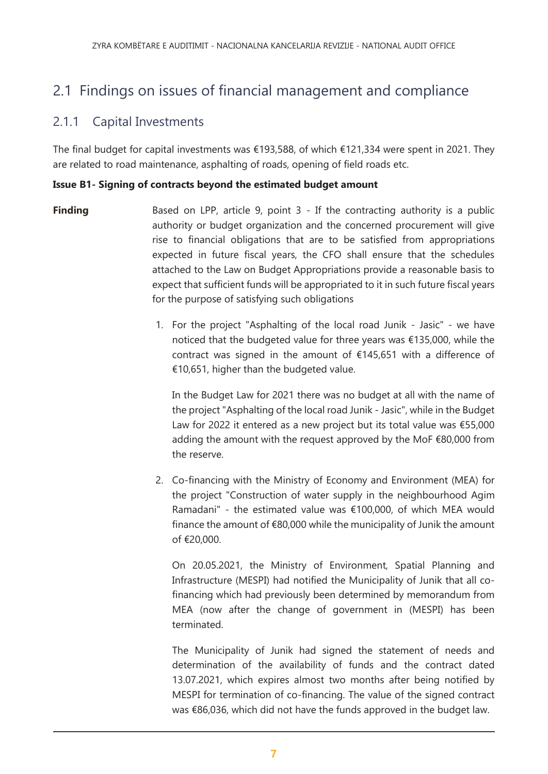## 2.1 Findings on issues of financial management and compliance

### 2.1.1 Capital Investments

The final budget for capital investments was €193,588, of which €121,334 were spent in 2021. They are related to road maintenance, asphalting of roads, opening of field roads etc.

#### **Issue B1- Signing of contracts beyond the estimated budget amount**

- **Finding** Based on LPP, article 9, point 3 If the contracting authority is a public authority or budget organization and the concerned procurement will give rise to financial obligations that are to be satisfied from appropriations expected in future fiscal years, the CFO shall ensure that the schedules attached to the Law on Budget Appropriations provide a reasonable basis to expect that sufficient funds will be appropriated to it in such future fiscal years for the purpose of satisfying such obligations
	- 1. For the project "Asphalting of the local road Junik Jasic" we have noticed that the budgeted value for three years was €135,000, while the contract was signed in the amount of €145,651 with a difference of €10,651, higher than the budgeted value.

In the Budget Law for 2021 there was no budget at all with the name of the project "Asphalting of the local road Junik - Jasic", while in the Budget Law for 2022 it entered as a new project but its total value was €55,000 adding the amount with the request approved by the MoF €80,000 from the reserve.

2. Co-financing with the Ministry of Economy and Environment (MEA) for the project "Construction of water supply in the neighbourhood Agim Ramadani" - the estimated value was €100,000, of which MEA would finance the amount of €80,000 while the municipality of Junik the amount of €20,000.

On 20.05.2021, the Ministry of Environment, Spatial Planning and Infrastructure (MESPI) had notified the Municipality of Junik that all cofinancing which had previously been determined by memorandum from MEA (now after the change of government in (MESPI) has been terminated.

The Municipality of Junik had signed the statement of needs and determination of the availability of funds and the contract dated 13.07.2021, which expires almost two months after being notified by MESPI for termination of co-financing. The value of the signed contract was €86,036, which did not have the funds approved in the budget law.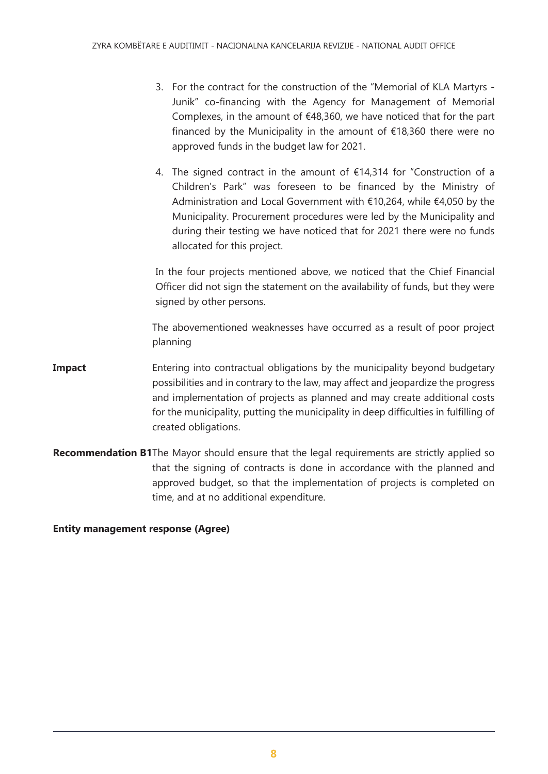- 3. For the contract for the construction of the "Memorial of KLA Martyrs Junik" co-financing with the Agency for Management of Memorial Complexes, in the amount of €48,360, we have noticed that for the part financed by the Municipality in the amount of  $£18,360$  there were no approved funds in the budget law for 2021.
- 4. The signed contract in the amount of €14,314 for "Construction of a Children's Park" was foreseen to be financed by the Ministry of Administration and Local Government with €10,264, while €4,050 by the Municipality. Procurement procedures were led by the Municipality and during their testing we have noticed that for 2021 there were no funds allocated for this project.

In the four projects mentioned above, we noticed that the Chief Financial Officer did not sign the statement on the availability of funds, but they were signed by other persons.

The abovementioned weaknesses have occurred as a result of poor project planning

- **Impact** Entering into contractual obligations by the municipality beyond budgetary possibilities and in contrary to the law, may affect and jeopardize the progress and implementation of projects as planned and may create additional costs for the municipality, putting the municipality in deep difficulties in fulfilling of created obligations.
- **Recommendation B1**The Mayor should ensure that the legal requirements are strictly applied so that the signing of contracts is done in accordance with the planned and approved budget, so that the implementation of projects is completed on time, and at no additional expenditure.

**Entity management response (Agree)**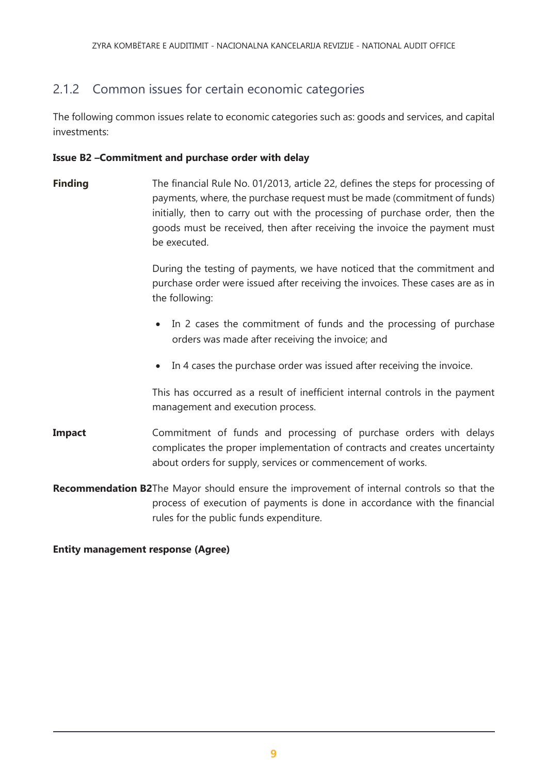## 2.1.2 Common issues for certain economic categories

The following common issues relate to economic categories such as: goods and services, and capital investments:

#### **Issue B2 –Commitment and purchase order with delay**

**Finding** The financial Rule No. 01/2013, article 22, defines the steps for processing of payments, where, the purchase request must be made (commitment of funds) initially, then to carry out with the processing of purchase order, then the goods must be received, then after receiving the invoice the payment must be executed.

> During the testing of payments, we have noticed that the commitment and purchase order were issued after receiving the invoices. These cases are as in the following:

- In 2 cases the commitment of funds and the processing of purchase orders was made after receiving the invoice; and
- In 4 cases the purchase order was issued after receiving the invoice.

This has occurred as a result of inefficient internal controls in the payment management and execution process.

- **Impact** Commitment of funds and processing of purchase orders with delays complicates the proper implementation of contracts and creates uncertainty about orders for supply, services or commencement of works.
- **Recommendation B2**The Mayor should ensure the improvement of internal controls so that the process of execution of payments is done in accordance with the financial rules for the public funds expenditure.

#### **Entity management response (Agree)**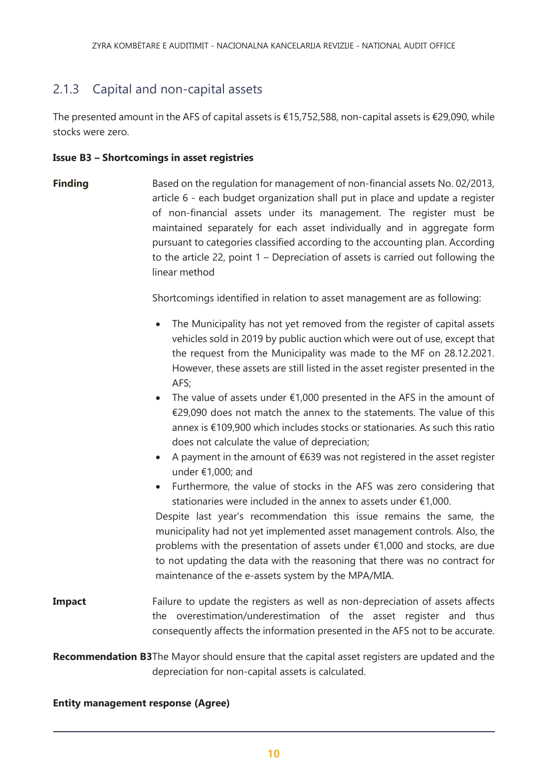## 2.1.3 Capital and non-capital assets

The presented amount in the AFS of capital assets is €15,752,588, non-capital assets is €29,090, while stocks were zero.

#### **Issue B3 – Shortcomings in asset registries**

**Finding** Based on the regulation for management of non-financial assets No. 02/2013, article 6 - each budget organization shall put in place and update a register of non-financial assets under its management. The register must be maintained separately for each asset individually and in aggregate form pursuant to categories classified according to the accounting plan. According to the article 22, point 1 – Depreciation of assets is carried out following the linear method

Shortcomings identified in relation to asset management are as following:

- The Municipality has not yet removed from the register of capital assets vehicles sold in 2019 by public auction which were out of use, except that the request from the Municipality was made to the MF on 28.12.2021. However, these assets are still listed in the asset register presented in the AFS;
- The value of assets under  $£1,000$  presented in the AFS in the amount of €29,090 does not match the annex to the statements. The value of this annex is €109,900 which includes stocks or stationaries. As such this ratio does not calculate the value of depreciation;
- A payment in the amount of €639 was not registered in the asset register under €1,000; and
- Furthermore, the value of stocks in the AFS was zero considering that stationaries were included in the annex to assets under €1,000.

Despite last year's recommendation this issue remains the same, the municipality had not yet implemented asset management controls. Also, the problems with the presentation of assets under €1,000 and stocks, are due to not updating the data with the reasoning that there was no contract for maintenance of the e-assets system by the MPA/MIA.

**Impact** Failure to update the registers as well as non-depreciation of assets affects the overestimation/underestimation of the asset register and thus consequently affects the information presented in the AFS not to be accurate.

**Recommendation B3**The Mayor should ensure that the capital asset registers are updated and the depreciation for non-capital assets is calculated.

#### **Entity management response (Agree)**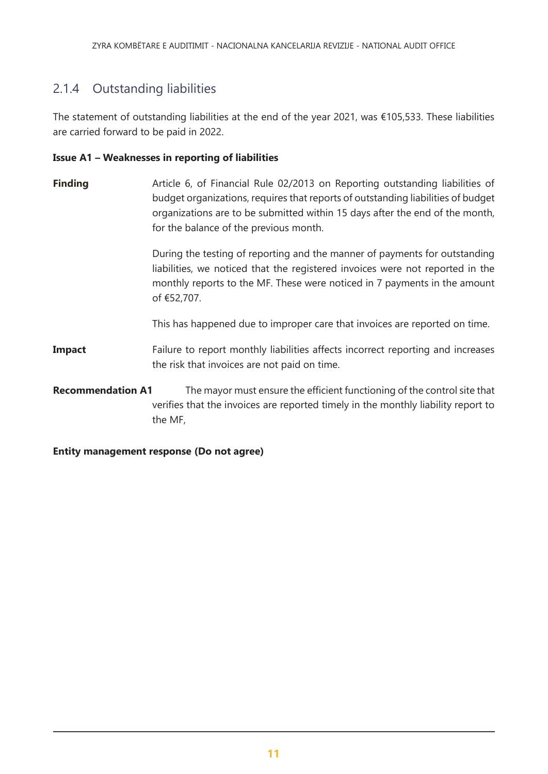## 2.1.4 Outstanding liabilities

The statement of outstanding liabilities at the end of the year 2021, was €105,533. These liabilities are carried forward to be paid in 2022.

#### **Issue A1 – Weaknesses in reporting of liabilities**

**Finding Article 6, of Financial Rule 02/2013 on Reporting outstanding liabilities of** budget organizations, requires that reports of outstanding liabilities of budget organizations are to be submitted within 15 days after the end of the month, for the balance of the previous month.

> During the testing of reporting and the manner of payments for outstanding liabilities, we noticed that the registered invoices were not reported in the monthly reports to the MF. These were noticed in 7 payments in the amount of €52,707.

This has happened due to improper care that invoices are reported on time.

- **Impact** Failure to report monthly liabilities affects incorrect reporting and increases the risk that invoices are not paid on time.
- **Recommendation A1** The mayor must ensure the efficient functioning of the control site that verifies that the invoices are reported timely in the monthly liability report to the MF,

<span id="page-10-0"></span>**Entity management response (Do not agree)**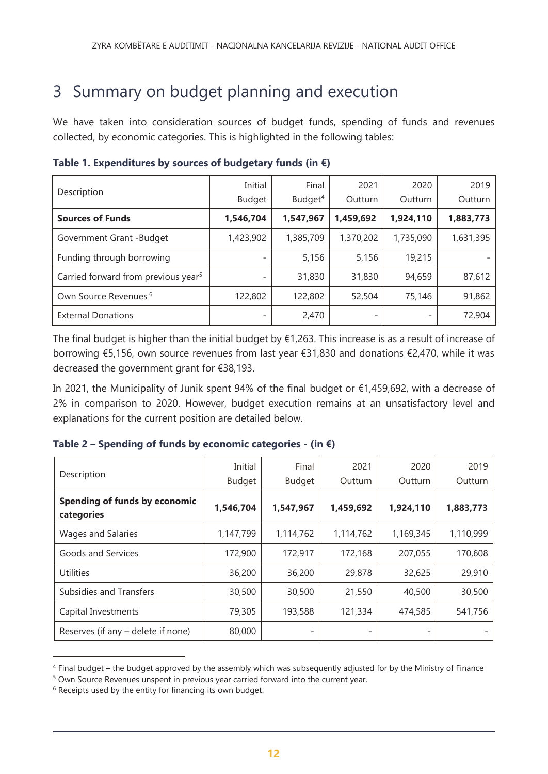## 3 Summary on budget planning and execution

We have taken into consideration sources of budget funds, spending of funds and revenues collected, by economic categories. This is highlighted in the following tables:

| Description                                     | Initial<br>Budget | Final<br>Budget <sup>4</sup> | 2021<br>Outturn          | 2020<br>Outturn | 2019<br>Outturn |
|-------------------------------------------------|-------------------|------------------------------|--------------------------|-----------------|-----------------|
| <b>Sources of Funds</b>                         | 1,546,704         | 1,547,967                    | 1,459,692                | 1,924,110       | 1,883,773       |
| Government Grant -Budget                        | 1,423,902         | 1,385,709                    | 1,370,202                | 1,735,090       | 1,631,395       |
| Funding through borrowing                       |                   | 5,156                        | 5,156                    | 19,215          |                 |
| Carried forward from previous year <sup>5</sup> |                   | 31,830                       | 31,830                   | 94,659          | 87,612          |
| Own Source Revenues <sup>6</sup>                | 122,802           | 122,802                      | 52,504                   | 75,146          | 91,862          |
| <b>External Donations</b>                       |                   | 2,470                        | $\overline{\phantom{0}}$ |                 | 72,904          |

**Table 1. Expenditures by sources of budgetary funds (in €)**

The final budget is higher than the initial budget by €1,263. This increase is as a result of increase of borrowing €5,156, own source revenues from last year €31,830 and donations €2,470, while it was decreased the government grant for €38,193.

In 2021, the Municipality of Junik spent 94% of the final budget or €1,459,692, with a decrease of 2% in comparison to 2020. However, budget execution remains at an unsatisfactory level and explanations for the current position are detailed below.

| Description                                 | Initial       | Final         | 2021      | 2020      | 2019      |
|---------------------------------------------|---------------|---------------|-----------|-----------|-----------|
|                                             | <b>Budget</b> | <b>Budget</b> | Outturn   | Outturn   | Outturn   |
| Spending of funds by economic<br>categories | 1,546,704     | 1,547,967     | 1,459,692 | 1,924,110 | 1,883,773 |
| <b>Wages and Salaries</b>                   | 1,147,799     | 1,114,762     | 1,114,762 | 1,169,345 | 1,110,999 |
| Goods and Services                          | 172,900       | 172,917       | 172,168   | 207,055   | 170,608   |
| Utilities                                   | 36,200        | 36,200        | 29,878    | 32,625    | 29,910    |
| Subsidies and Transfers                     | 30,500        | 30,500        | 21,550    | 40,500    | 30,500    |
| Capital Investments                         | 79,305        | 193,588       | 121,334   | 474,585   | 541,756   |
| Reserves (if any - delete if none)          | 80,000        | -             |           |           |           |

<sup>4</sup> Final budget – the budget approved by the assembly which was subsequently adjusted for by the Ministry of Finance

 $\overline{a}$ 

<sup>5</sup> Own Source Revenues unspent in previous year carried forward into the current year.

<sup>&</sup>lt;sup>6</sup> Receipts used by the entity for financing its own budget.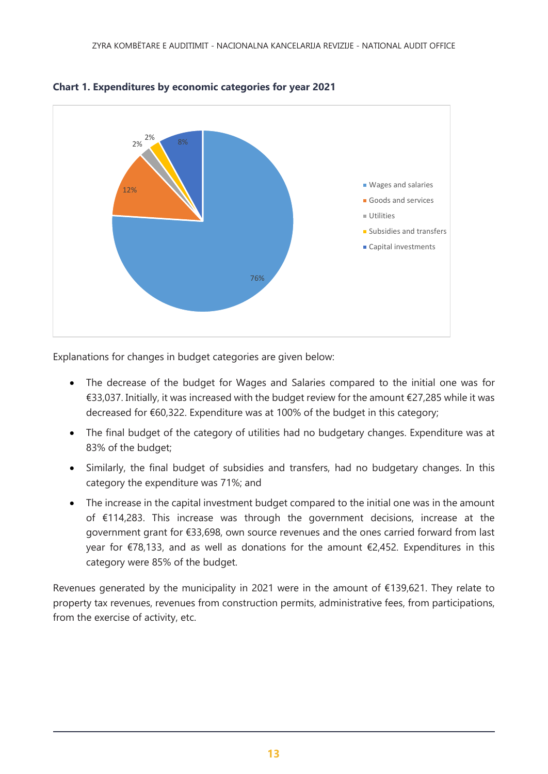

#### **Chart 1. Expenditures by economic categories for year 2021**

Explanations for changes in budget categories are given below:

- The decrease of the budget for Wages and Salaries compared to the initial one was for €33,037. Initially, it was increased with the budget review for the amount €27,285 while it was decreased for €60,322. Expenditure was at 100% of the budget in this category;
- The final budget of the category of utilities had no budgetary changes. Expenditure was at 83% of the budget;
- Similarly, the final budget of subsidies and transfers, had no budgetary changes. In this category the expenditure was 71%; and
- The increase in the capital investment budget compared to the initial one was in the amount of €114,283. This increase was through the government decisions, increase at the government grant for €33,698, own source revenues and the ones carried forward from last year for €78,133, and as well as donations for the amount €2,452. Expenditures in this category were 85% of the budget.

Revenues generated by the municipality in 2021 were in the amount of €139,621. They relate to property tax revenues, revenues from construction permits, administrative fees, from participations, from the exercise of activity, etc.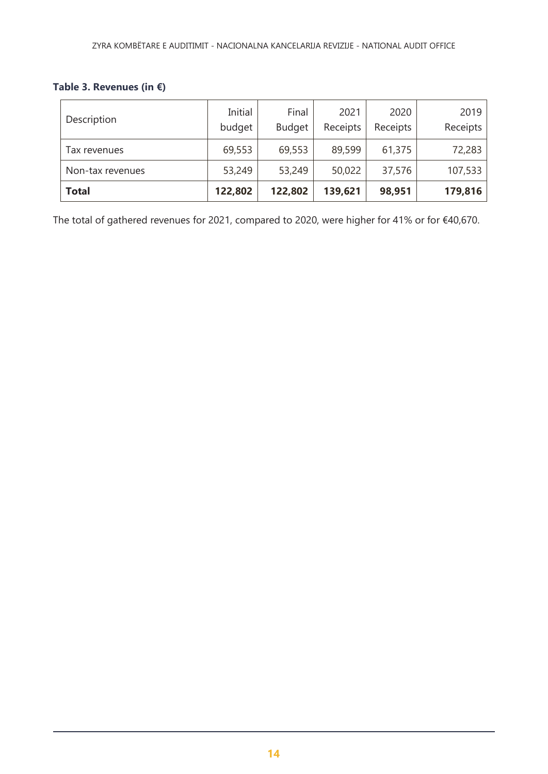### **Table 3. Revenues (in €)**

| Description      | Initial<br>budget | Final<br><b>Budget</b> | 2021<br>Receipts | 2020<br>Receipts | 2019<br>Receipts |
|------------------|-------------------|------------------------|------------------|------------------|------------------|
| Tax revenues     | 69,553            | 69,553                 | 89,599           | 61,375           | 72,283           |
| Non-tax revenues | 53,249            | 53,249                 | 50,022           | 37,576           | 107,533          |
| <b>Total</b>     | 122,802           | 122,802                | 139,621          | 98,951           | 179,816          |

<span id="page-13-0"></span>The total of gathered revenues for 2021, compared to 2020, were higher for 41% or for €40,670.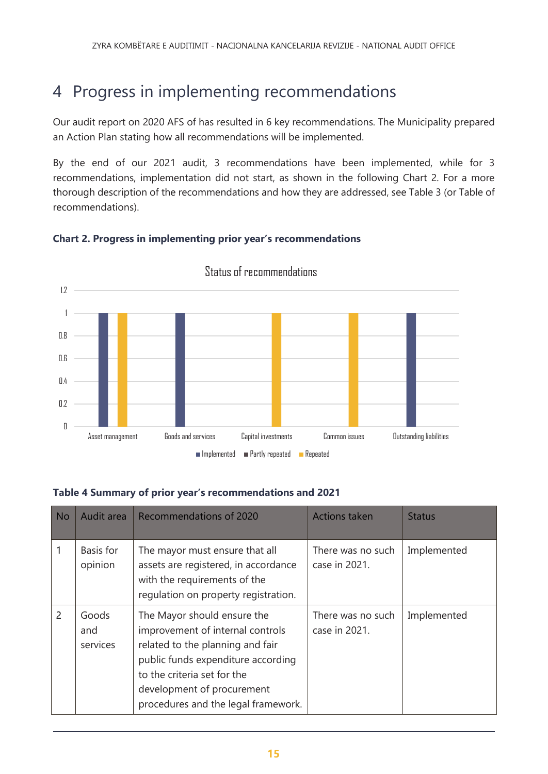# 4 Progress in implementing recommendations

Our audit report on 2020 AFS of has resulted in 6 key recommendations. The Municipality prepared an Action Plan stating how all recommendations will be implemented.

By the end of our 2021 audit, 3 recommendations have been implemented, while for 3 recommendations, implementation did not start, as shown in the following Chart 2. For a more thorough description of the recommendations and how they are addressed, see Table 3 (or Table of recommendations).



### **Chart 2. Progress in implementing prior year's recommendations**

### **Table 4 Summary of prior year's recommendations and 2021**

| <b>No</b> | Audit area               | Recommendations of 2020                                                                                                                                                                                                                       | <b>Actions taken</b>               | <b>Status</b> |
|-----------|--------------------------|-----------------------------------------------------------------------------------------------------------------------------------------------------------------------------------------------------------------------------------------------|------------------------------------|---------------|
|           | Basis for<br>opinion     | The mayor must ensure that all<br>assets are registered, in accordance<br>with the requirements of the<br>regulation on property registration.                                                                                                | There was no such<br>case in 2021. | Implemented   |
| 2         | Goods<br>and<br>services | The Mayor should ensure the<br>improvement of internal controls<br>related to the planning and fair<br>public funds expenditure according<br>to the criteria set for the<br>development of procurement<br>procedures and the legal framework. | There was no such<br>case in 2021. | Implemented   |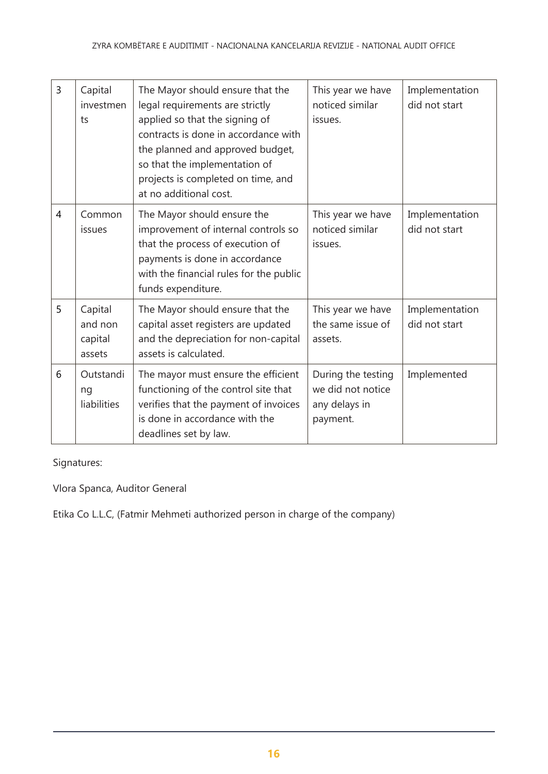| $\overline{3}$ | Capital<br>investmen<br>ts              | The Mayor should ensure that the<br>legal requirements are strictly<br>applied so that the signing of<br>contracts is done in accordance with<br>the planned and approved budget,<br>so that the implementation of<br>projects is completed on time, and<br>at no additional cost. | This year we have<br>noticed similar<br>issues.                      | Implementation<br>did not start |
|----------------|-----------------------------------------|------------------------------------------------------------------------------------------------------------------------------------------------------------------------------------------------------------------------------------------------------------------------------------|----------------------------------------------------------------------|---------------------------------|
| 4              | Common<br>issues                        | The Mayor should ensure the<br>improvement of internal controls so<br>that the process of execution of<br>payments is done in accordance<br>with the financial rules for the public<br>funds expenditure.                                                                          | This year we have<br>noticed similar<br>issues.                      | Implementation<br>did not start |
| 5              | Capital<br>and non<br>capital<br>assets | The Mayor should ensure that the<br>capital asset registers are updated<br>and the depreciation for non-capital<br>assets is calculated.                                                                                                                                           | This year we have<br>the same issue of<br>assets.                    | Implementation<br>did not start |
| 6              | Outstandi<br>ng<br>liabilities          | The mayor must ensure the efficient<br>functioning of the control site that<br>verifies that the payment of invoices<br>is done in accordance with the<br>deadlines set by law.                                                                                                    | During the testing<br>we did not notice<br>any delays in<br>payment. | Implemented                     |

Signatures:

Vlora Spanca, Auditor General

Etika Co L.L.C, (Fatmir Mehmeti authorized person in charge of the company)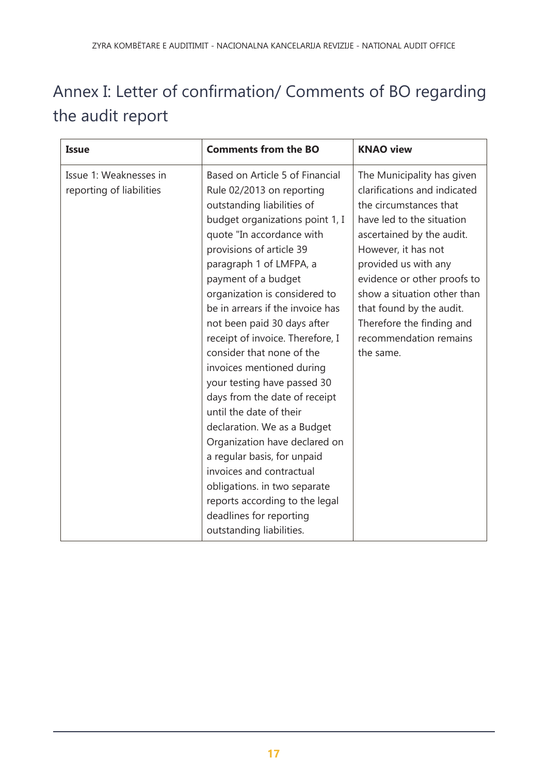# <span id="page-16-0"></span>Annex I: Letter of confirmation/ Comments of BO regarding the audit report

| <b>Issue</b>                                       | <b>Comments from the BO</b>                                                                                                                                                                                                                                                                                                                                                                                                                                                                                                                                                                                                                                                                                                                                                               | <b>KNAO view</b>                                                                                                                                                                                                                                                                                                                                            |
|----------------------------------------------------|-------------------------------------------------------------------------------------------------------------------------------------------------------------------------------------------------------------------------------------------------------------------------------------------------------------------------------------------------------------------------------------------------------------------------------------------------------------------------------------------------------------------------------------------------------------------------------------------------------------------------------------------------------------------------------------------------------------------------------------------------------------------------------------------|-------------------------------------------------------------------------------------------------------------------------------------------------------------------------------------------------------------------------------------------------------------------------------------------------------------------------------------------------------------|
| Issue 1: Weaknesses in<br>reporting of liabilities | Based on Article 5 of Financial<br>Rule 02/2013 on reporting<br>outstanding liabilities of<br>budget organizations point 1, I<br>quote "In accordance with<br>provisions of article 39<br>paragraph 1 of LMFPA, a<br>payment of a budget<br>organization is considered to<br>be in arrears if the invoice has<br>not been paid 30 days after<br>receipt of invoice. Therefore, I<br>consider that none of the<br>invoices mentioned during<br>your testing have passed 30<br>days from the date of receipt<br>until the date of their<br>declaration. We as a Budget<br>Organization have declared on<br>a regular basis, for unpaid<br>invoices and contractual<br>obligations. in two separate<br>reports according to the legal<br>deadlines for reporting<br>outstanding liabilities. | The Municipality has given<br>clarifications and indicated<br>the circumstances that<br>have led to the situation<br>ascertained by the audit.<br>However, it has not<br>provided us with any<br>evidence or other proofs to<br>show a situation other than<br>that found by the audit.<br>Therefore the finding and<br>recommendation remains<br>the same. |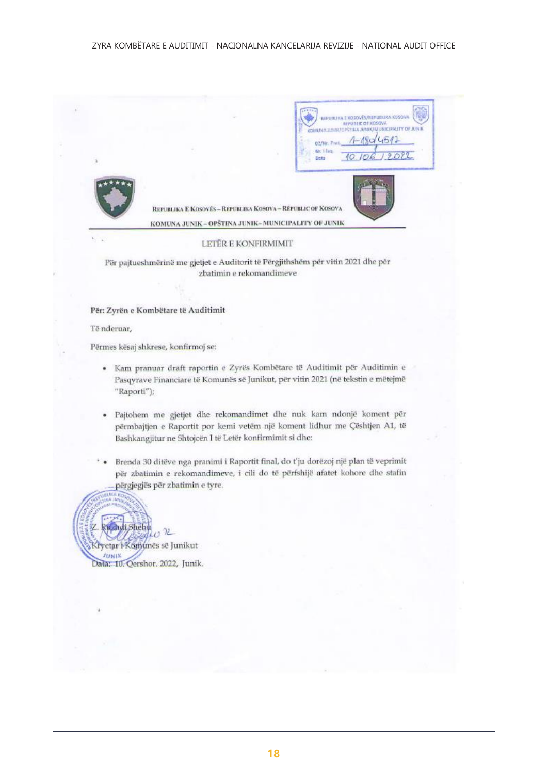**BENZ THOSOVE SALE NUCLE OF BOSCH**  $1.51$ D2/Nr. 7 Ne Libn Data REPUBLIKA E KOSOVÉS - REPUBLIKA KOSOVA - REPUBLIC OF KOSOVA KOMUNA JUNIK - OPŠTINA JUNIK-MUNICIPALITY OF JUNIK LETËR E KONFIRMIMIT Për pajtueshmërinë me gjetjet e Auditorit të Përgjithshëm për vitin 2021 dhe për

zbatimin e rekomandimeve

#### Për: Zyrën e Kombëtare të Auditimit

Të nderuar,

Përmes kësaj shkrese, konfirmoj se:

- · Kam pranuar draft raportin e Zyrës Kombëtare të Auditimit për Auditimin e Pasqyrave Financiare të Komunës së Junikut, për vitin 2021 (në tekstin e mëtejmë "Raporti");
- · Pajtohem me gjetjet dhe rekomandimet dhe nuk kam ndonjë koment për përmbajtjen e Raportit por kemi vetëm një koment lidhur me Çështjen A1, të Bashkangjitur ne Shtojcën I të Letër konfirmimit si dhe:
- Brenda 30 ditëve nga pranimi i Raportit final, do t'ju dorëzoj një plan të veprimit  $\ddot{\phantom{1}}$ për zbatimin e rekomandimeve, i cili do të përfshijë afatet kohore dhe stafin përgjegjës për zbatimin e tyre.

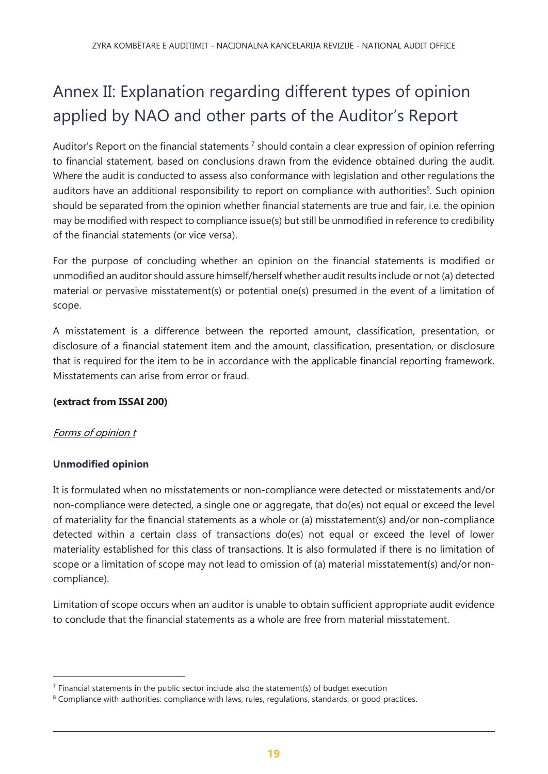# <span id="page-18-0"></span>Annex II: Explanation regarding different types of opinion applied by NAO and other parts of the Auditor's Report

Auditor's Report on the financial statements<sup>7</sup> should contain a clear expression of opinion referring to financial statement, based on conclusions drawn from the evidence obtained during the audit. Where the audit is conducted to assess also conformance with legislation and other regulations the auditors have an additional responsibility to report on compliance with authorities<sup>8</sup>. Such opinion should be separated from the opinion whether financial statements are true and fair, i.e. the opinion may be modified with respect to compliance issue(s) but still be unmodified in reference to credibility of the financial statements (or vice versa).

For the purpose of concluding whether an opinion on the financial statements is modified or unmodified an auditor should assure himself/herself whether audit results include or not (a) detected material or pervasive misstatement(s) or potential one(s) presumed in the event of a limitation of scope.

A misstatement is a difference between the reported amount, classification, presentation, or disclosure of a financial statement item and the amount, classification, presentation, or disclosure that is required for the item to be in accordance with the applicable financial reporting framework. Misstatements can arise from error or fraud.

### **(extract from ISSAI 200)**

### Forms of opinion t

### **Unmodified opinion**

 $\overline{a}$ 

It is formulated when no misstatements or non-compliance were detected or misstatements and/or non-compliance were detected, a single one or aggregate, that do(es) not equal or exceed the level of materiality for the financial statements as a whole or (a) misstatement(s) and/or non-compliance detected within a certain class of transactions do(es) not equal or exceed the level of lower materiality established for this class of transactions. It is also formulated if there is no limitation of scope or a limitation of scope may not lead to omission of (a) material misstatement(s) and/or noncompliance).

Limitation of scope occurs when an auditor is unable to obtain sufficient appropriate audit evidence to conclude that the financial statements as a whole are free from material misstatement.

 $<sup>7</sup>$  Financial statements in the public sector include also the statement(s) of budget execution</sup>

 $8$  Compliance with authorities: compliance with laws, rules, regulations, standards, or good practices.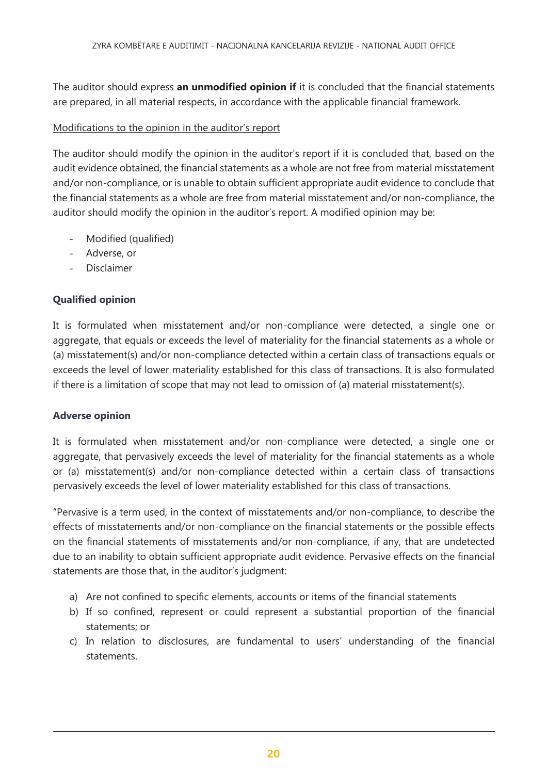The auditor should express **an unmodified opinion if** it is concluded that the financial statements are prepared, in all material respects, in accordance with the applicable financial framework.

#### Modifications to the opinion in the auditor's report

The auditor should modify the opinion in the auditor's report if it is concluded that, based on the audit evidence obtained, the financial statements as a whole are not free from material misstatement and/or non-compliance, or is unable to obtain sufficient appropriate audit evidence to conclude that the financial statements as a whole are free from material misstatement and/or non-compliance, the auditor should modify the opinion in the auditor's report. A modified opinion may be:

- Modified (qualified)
- Adverse, or
- **Disclaimer**

#### **Qualified opinion**

It is formulated when misstatement and/or non-compliance were detected, a single one or aggregate, that equals or exceeds the level of materiality for the financial statements as a whole or (a) misstatement(s) and/or non-compliance detected within a certain class of transactions equals or exceeds the level of lower materiality established for this class of transactions. It is also formulated if there is a limitation of scope that may not lead to omission of (a) material misstatement(s).

#### **Adverse opinion**

It is formulated when misstatement and/or non-compliance were detected, a single one or aggregate, that pervasively exceeds the level of materiality for the financial statements as a whole or (a) misstatement(s) and/or non-compliance detected within a certain class of transactions pervasively exceeds the level of lower materiality established for this class of transactions.

"Pervasive is a term used, in the context of misstatements and/or non-compliance, to describe the effects of misstatements and/or non-compliance on the financial statements or the possible effects on the financial statements of misstatements and/or non-compliance, if any, that are undetected due to an inability to obtain sufficient appropriate audit evidence. Pervasive effects on the financial statements are those that, in the auditor's judgment:

- a) Are not confined to specific elements, accounts or items of the financial statements
- b) If so confined, represent or could represent a substantial proportion of the financial statements; or
- c) In relation to disclosures, are fundamental to users' understanding of the financial statements.